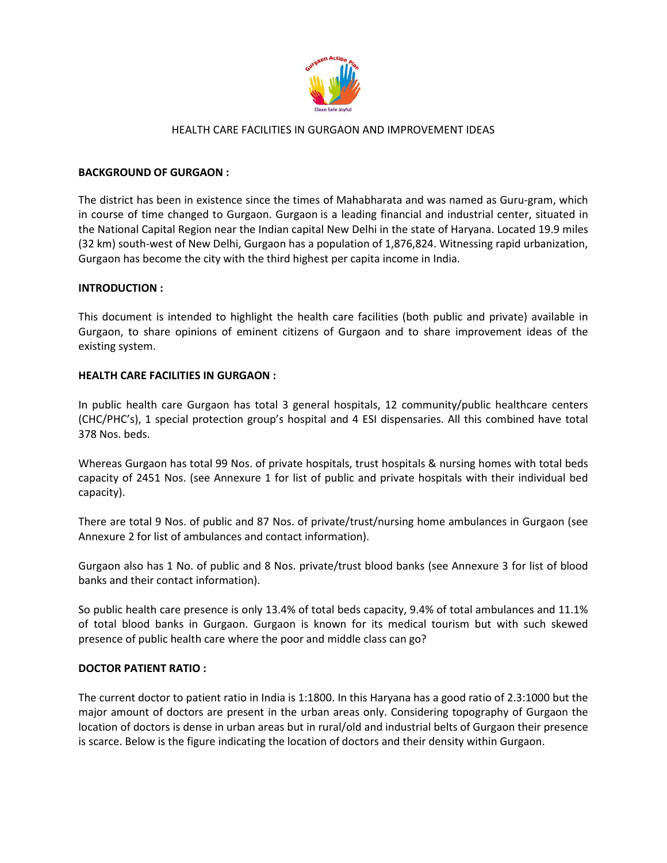

#### BACKGROUND OF GURGAON :

The district has been in existence since the times of Mahabharata and was named as Guru-gram, which in course of time changed to Gurgaon. Gurgaon is a leading financial and industrial center, situated in the National Capital Region near the Indian capital New Delhi in the state of Haryana. Located 19.9 miles (32 km) south-west of New Delhi, Gurgaon has a population of 1,876,824. Witnessing rapid urbanization, Gurgaon has become the city with the third highest per capita income in India.

#### INTRODUCTION :

This document is intended to highlight the health care facilities (both public and private) available in Gurgaon, to share opinions of eminent citizens of Gurgaon and to share improvement ideas of the existing system.

#### HEALTH CARE FACILITIES IN GURGAON :

In public health care Gurgaon has total 3 general hospitals, 12 community/public healthcare centers (CHC/PHC's), 1 special protection group's hospital and 4 ESI dispensaries. All this combined have total 378 Nos. beds.

Whereas Gurgaon has total 99 Nos. of private hospitals, trust hospitals & nursing homes with total beds capacity of 2451 Nos. (see Annexure 1 for list of public and private hospitals with their individual bed capacity).

There are total 9 Nos. of public and 87 Nos. of private/trust/nursing home ambulances in Gurgaon (see Annexure 2 for list of ambulances and contact information).

Gurgaon also has 1 No. of public and 8 Nos. private/trust blood banks (see Annexure 3 for list of blood banks and their contact information).

So public health care presence is only 13.4% of total beds capacity, 9.4% of total ambulances and 11.1% of total blood banks in Gurgaon. Gurgaon is known for its medical tourism but with such skewed presence of public health care where the poor and middle class can go?

#### DOCTOR PATIENT RATIO :

The current doctor to patient ratio in India is 1:1800. In this Haryana has a good ratio of 2.3:1000 but the major amount of doctors are present in the urban areas only. Considering topography of Gurgaon the location of doctors is dense in urban areas but in rural/old and industrial belts of Gurgaon their presence is scarce. Below is the figure indicating the location of doctors and their density within Gurgaon.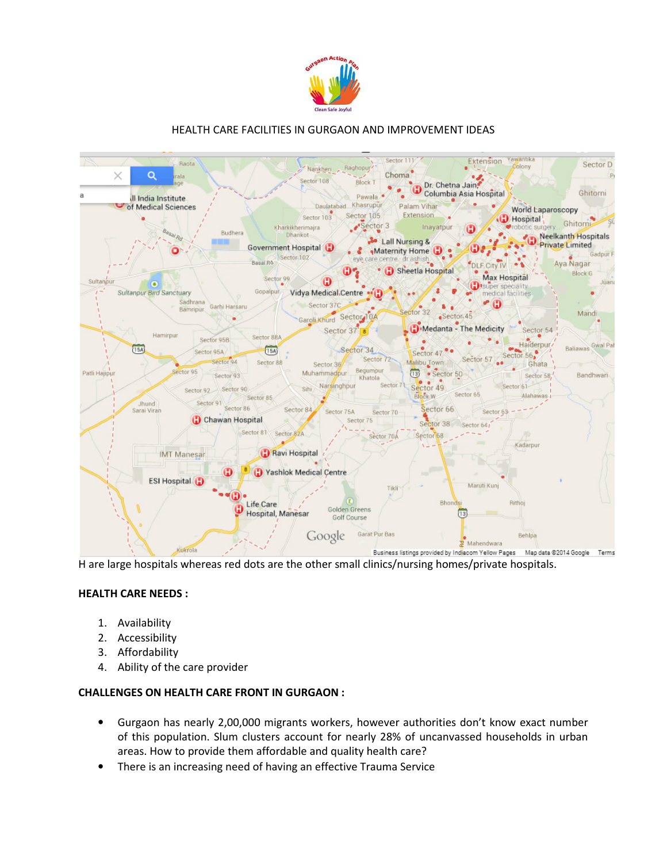



H are large hospitals whereas red dots are the other small clinics/nursing homes/private hospitals.

#### HEALTH CARE NEEDS :

- 1. Availability
- 2. Accessibility
- 3. Affordability
- 4. Ability of the care provider

#### CHALLENGES ON HEALTH CARE FRONT IN GURGAON :

- Gurgaon has nearly 2,00,000 migrants workers, however authorities don't know exact number of this population. Slum clusters account for nearly 28% of uncanvassed households in urban areas. How to provide them affordable and quality health care?
- There is an increasing need of having an effective Trauma Service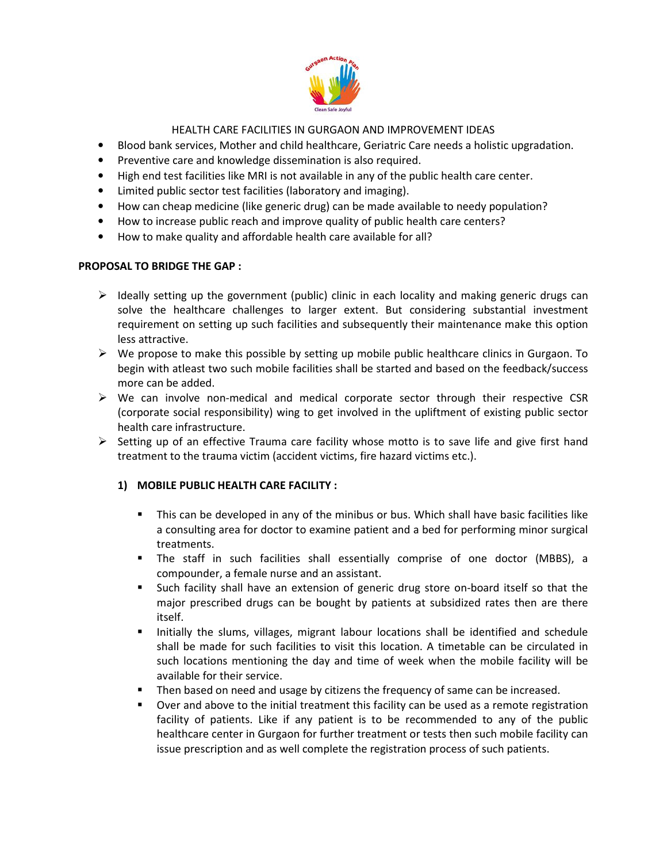

- Blood bank services, Mother and child healthcare, Geriatric Care needs a holistic upgradation.
- Preventive care and knowledge dissemination is also required.
- High end test facilities like MRI is not available in any of the public health care center.
- Limited public sector test facilities (laboratory and imaging).
- How can cheap medicine (like generic drug) can be made available to needy population?
- How to increase public reach and improve quality of public health care centers?
- How to make quality and affordable health care available for all?

## PROPOSAL TO BRIDGE THE GAP :

- $\triangleright$  Ideally setting up the government (public) clinic in each locality and making generic drugs can solve the healthcare challenges to larger extent. But considering substantial investment requirement on setting up such facilities and subsequently their maintenance make this option less attractive.
- $\triangleright$  We propose to make this possible by setting up mobile public healthcare clinics in Gurgaon. To begin with atleast two such mobile facilities shall be started and based on the feedback/success more can be added.
- $\triangleright$  We can involve non-medical and medical corporate sector through their respective CSR (corporate social responsibility) wing to get involved in the upliftment of existing public sector health care infrastructure.
- $\triangleright$  Setting up of an effective Trauma care facility whose motto is to save life and give first hand treatment to the trauma victim (accident victims, fire hazard victims etc.).

# 1) MOBILE PUBLIC HEALTH CARE FACILITY :

- This can be developed in any of the minibus or bus. Which shall have basic facilities like a consulting area for doctor to examine patient and a bed for performing minor surgical treatments.
- The staff in such facilities shall essentially comprise of one doctor (MBBS), a compounder, a female nurse and an assistant.
- - Such facility shall have an extension of generic drug store on-board itself so that the major prescribed drugs can be bought by patients at subsidized rates then are there itself.
- - Initially the slums, villages, migrant labour locations shall be identified and schedule shall be made for such facilities to visit this location. A timetable can be circulated in such locations mentioning the day and time of week when the mobile facility will be available for their service.
- Then based on need and usage by citizens the frequency of same can be increased.
- - Over and above to the initial treatment this facility can be used as a remote registration facility of patients. Like if any patient is to be recommended to any of the public healthcare center in Gurgaon for further treatment or tests then such mobile facility can issue prescription and as well complete the registration process of such patients.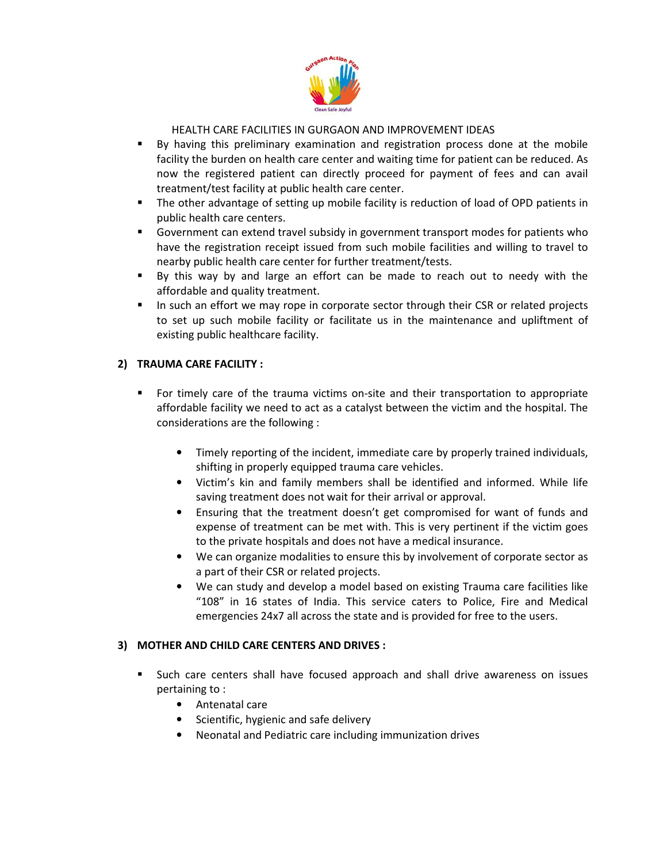

- By having this preliminary examination and registration process done at the mobile facility the burden on health care center and waiting time for patient can be reduced. As now the registered patient can directly proceed for payment of fees and can avail treatment/test facility at public health care center.
- - The other advantage of setting up mobile facility is reduction of load of OPD patients in public health care centers.
- - Government can extend travel subsidy in government transport modes for patients who have the registration receipt issued from such mobile facilities and willing to travel to nearby public health care center for further treatment/tests.
- - By this way by and large an effort can be made to reach out to needy with the affordable and quality treatment.
- - In such an effort we may rope in corporate sector through their CSR or related projects to set up such mobile facility or facilitate us in the maintenance and upliftment of existing public healthcare facility.

## 2) TRAUMA CARE FACILITY :

- - For timely care of the trauma victims on-site and their transportation to appropriate affordable facility we need to act as a catalyst between the victim and the hospital. The considerations are the following :
	- Timely reporting of the incident, immediate care by properly trained individuals, shifting in properly equipped trauma care vehicles.
	- Victim's kin and family members shall be identified and informed. While life saving treatment does not wait for their arrival or approval.
	- Ensuring that the treatment doesn't get compromised for want of funds and expense of treatment can be met with. This is very pertinent if the victim goes to the private hospitals and does not have a medical insurance.
	- We can organize modalities to ensure this by involvement of corporate sector as a part of their CSR or related projects.
	- We can study and develop a model based on existing Trauma care facilities like "108" in 16 states of India. This service caters to Police, Fire and Medical emergencies 24x7 all across the state and is provided for free to the users.

#### 3) MOTHER AND CHILD CARE CENTERS AND DRIVES :

- - Such care centers shall have focused approach and shall drive awareness on issues pertaining to :
	- Antenatal care
	- Scientific, hygienic and safe delivery
	- Neonatal and Pediatric care including immunization drives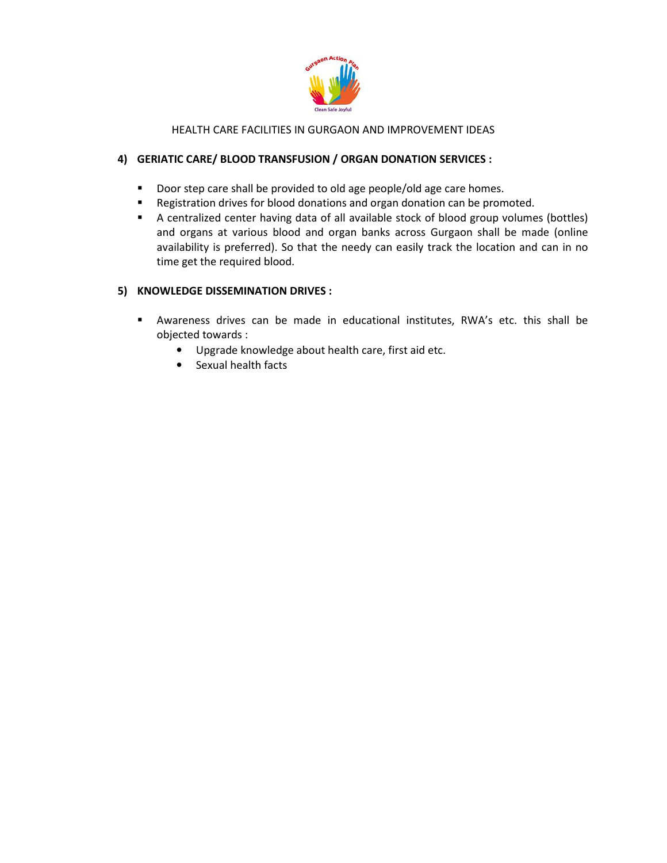

## 4) GERIATIC CARE/ BLOOD TRANSFUSION / ORGAN DONATION SERVICES :

- -Door step care shall be provided to old age people/old age care homes.
- -Registration drives for blood donations and organ donation can be promoted.
- A centralized center having data of all available stock of blood group volumes (bottles) and organs at various blood and organ banks across Gurgaon shall be made (online availability is preferred). So that the needy can easily track the location and can in no time get the required blood.

## 5) KNOWLEDGE DISSEMINATION DRIVES :

- - Awareness drives can be made in educational institutes, RWA's etc. this shall be objected towards :
	- Upgrade knowledge about health care, first aid etc.
	- Sexual health facts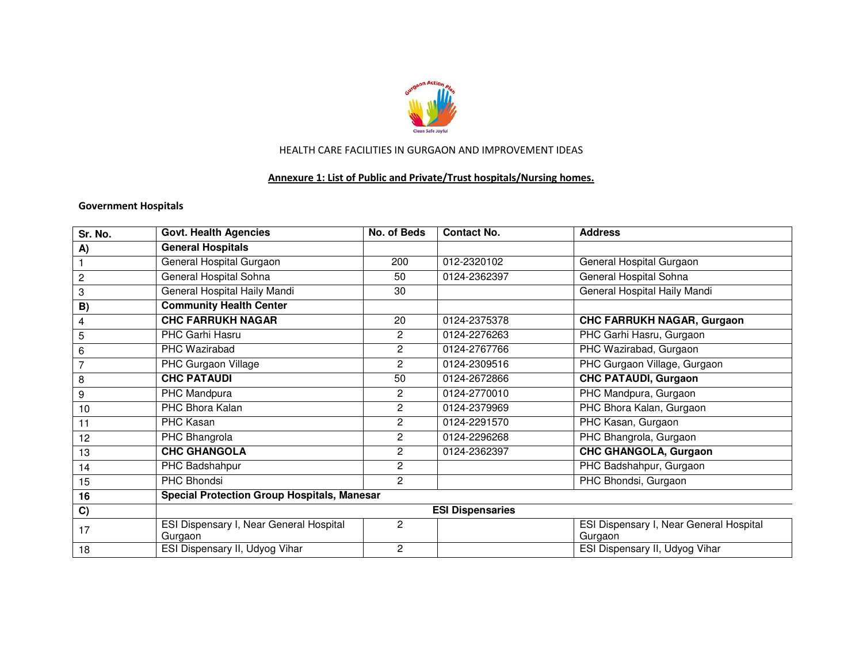

# Annexure 1: List of Public and Private/Trust hospitals/Nursing homes.

## Government Hospitals

| Sr. No.        | <b>Govt. Health Agencies</b>                       | No. of Beds           | <b>Contact No.</b>      | <b>Address</b>                                     |
|----------------|----------------------------------------------------|-----------------------|-------------------------|----------------------------------------------------|
| A)             | <b>General Hospitals</b>                           |                       |                         |                                                    |
|                | General Hospital Gurgaon                           | 200                   | 012-2320102             | General Hospital Gurgaon                           |
| $\overline{2}$ | <b>General Hospital Sohna</b>                      | 50                    | 0124-2362397            | General Hospital Sohna                             |
| $\,3$          | General Hospital Haily Mandi                       | 30                    |                         | General Hospital Haily Mandi                       |
| B)             | <b>Community Health Center</b>                     |                       |                         |                                                    |
| 4              | <b>CHC FARRUKH NAGAR</b>                           | 20                    | 0124-2375378            | <b>CHC FARRUKH NAGAR, Gurgaon</b>                  |
| $\overline{5}$ | PHC Garhi Hasru                                    | $\mathbf{2}$          | 0124-2276263            | PHC Garhi Hasru, Gurgaon                           |
| 6              | PHC Wazirabad                                      | $\overline{2}$        | 0124-2767766            | PHC Wazirabad, Gurgaon                             |
| $\overline{7}$ | <b>PHC</b> Gurgaon Village                         | $\mathbf{2}^{\prime}$ | 0124-2309516            | PHC Gurgaon Village, Gurgaon                       |
| 8              | <b>CHC PATAUDI</b>                                 | 50                    | 0124-2672866            | <b>CHC PATAUDI, Gurgaon</b>                        |
| 9              | PHC Mandpura                                       | 2                     | 0124-2770010            | PHC Mandpura, Gurgaon                              |
| 10             | PHC Bhora Kalan                                    | $\overline{2}$        | 0124-2379969            | PHC Bhora Kalan, Gurgaon                           |
| 11             | PHC Kasan                                          | 2                     | 0124-2291570            | PHC Kasan, Gurgaon                                 |
| 12             | PHC Bhangrola                                      | 2                     | 0124-2296268            | PHC Bhangrola, Gurgaon                             |
| 13             | <b>CHC GHANGOLA</b>                                | $\overline{2}$        | 0124-2362397            | <b>CHC GHANGOLA, Gurgaon</b>                       |
| 14             | PHC Badshahpur                                     | $\mathbf{2}^{\prime}$ |                         | PHC Badshahpur, Gurgaon                            |
| 15             | PHC Bhondsi                                        | $\overline{2}$        |                         | PHC Bhondsi, Gurgaon                               |
| 16             | <b>Special Protection Group Hospitals, Manesar</b> |                       |                         |                                                    |
| C)             |                                                    |                       | <b>ESI Dispensaries</b> |                                                    |
| 17             | ESI Dispensary I, Near General Hospital<br>Gurgaon | $\overline{c}$        |                         | ESI Dispensary I, Near General Hospital<br>Gurgaon |
| 18             | ESI Dispensary II, Udyog Vihar                     | $\overline{c}$        |                         | ESI Dispensary II, Udyog Vihar                     |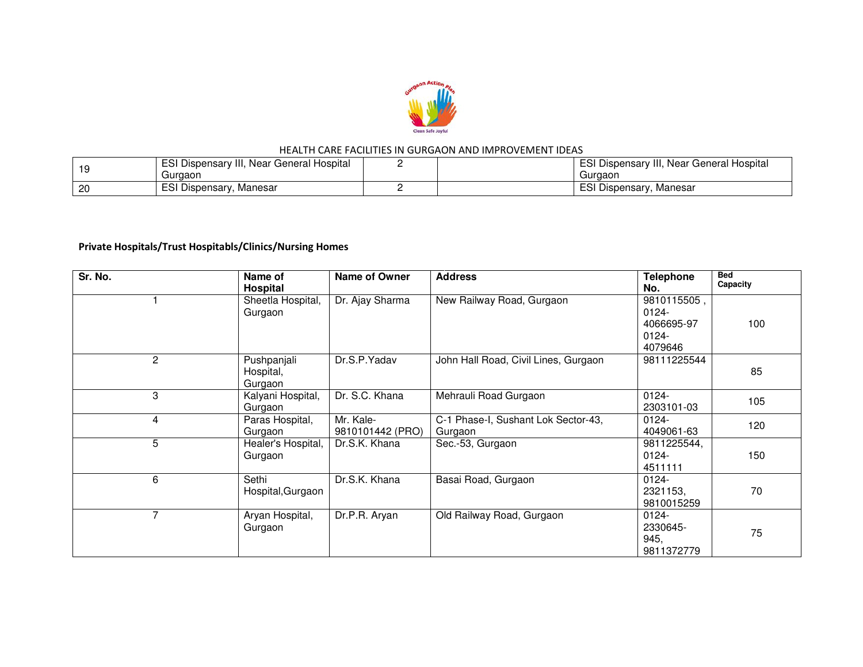

|     | ESI Dispensary III, Near General Hospital | ESI Dispensary III, Near General Hospital |
|-----|-------------------------------------------|-------------------------------------------|
| -19 | Guraaon                                   | Gurgaon                                   |
| 20  | <b>ESI Dispensary, Manesar</b>            | ESI Dispensary, Manesar                   |

# Private Hospitals/Trust Hospitabls/Clinics/Nursing Homes

| Sr. No.        | Name of<br>Hospital                 | Name of Owner                 | <b>Address</b>                                 | <b>Telephone</b><br>No.                                      | <b>Bed</b><br>Capacity |
|----------------|-------------------------------------|-------------------------------|------------------------------------------------|--------------------------------------------------------------|------------------------|
|                | Sheetla Hospital,<br>Gurgaon        | Dr. Ajay Sharma               | New Railway Road, Gurgaon                      | 9810115505,<br>$0124 -$<br>4066695-97<br>$0124 -$<br>4079646 | 100                    |
| $\overline{c}$ | Pushpanjali<br>Hospital,<br>Gurgaon | Dr.S.P.Yadav                  | John Hall Road, Civil Lines, Gurgaon           | 98111225544                                                  | 85                     |
| 3              | Kalyani Hospital,<br>Gurgaon        | Dr. S.C. Khana                | Mehrauli Road Gurgaon                          | $0124 -$<br>2303101-03                                       | 105                    |
| $\overline{4}$ | Paras Hospital,<br>Gurgaon          | Mr. Kale-<br>9810101442 (PRO) | C-1 Phase-I, Sushant Lok Sector-43,<br>Gurgaon | $0124 -$<br>4049061-63                                       | 120                    |
| 5              | Healer's Hospital,<br>Gurgaon       | Dr.S.K. Khana                 | Sec.-53, Gurgaon                               | 9811225544,<br>0124-<br>4511111                              | 150                    |
| 6              | Sethi<br>Hospital, Gurgaon          | Dr.S.K. Khana                 | Basai Road, Gurgaon                            | $0124 -$<br>2321153,<br>9810015259                           | 70                     |
| 7              | Aryan Hospital,<br>Gurgaon          | Dr.P.R. Aryan                 | Old Railway Road, Gurgaon                      | $0124 -$<br>2330645-<br>945,<br>9811372779                   | 75                     |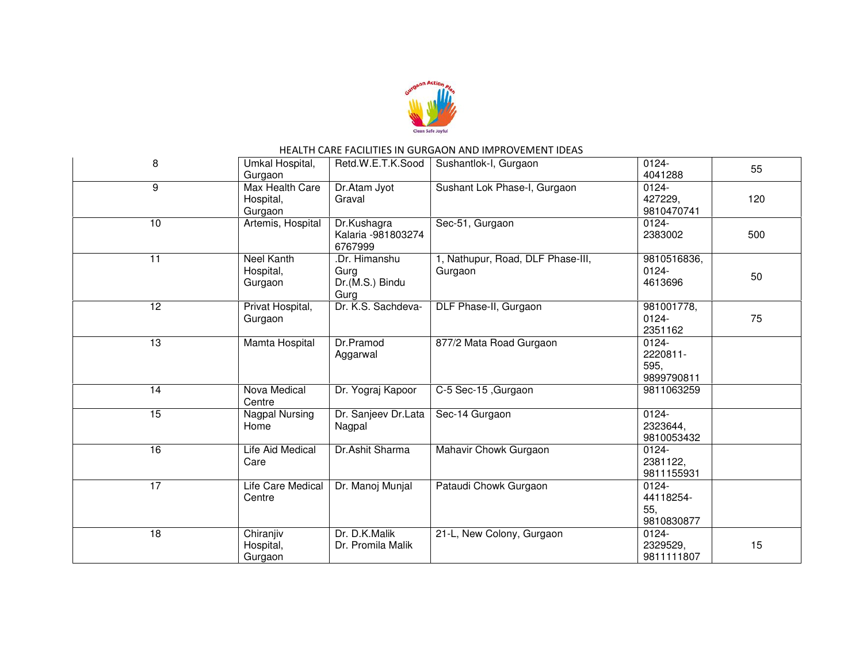

| 8               | Umkal Hospital,<br>Gurgaon              | Retd.W.E.T.K.Sood                                | Sushantlok-I, Gurgaon                        | $0124 -$<br>4041288                        | 55  |
|-----------------|-----------------------------------------|--------------------------------------------------|----------------------------------------------|--------------------------------------------|-----|
| 9               | Max Health Care<br>Hospital,<br>Gurgaon | Dr.Atam Jyot<br>Graval                           | Sushant Lok Phase-I, Gurgaon                 | $0124 -$<br>427229,<br>9810470741          | 120 |
| 10              | Artemis, Hospital                       | Dr.Kushagra<br>Kalaria - 981803274<br>6767999    | Sec-51, Gurgaon                              | $0124 -$<br>2383002                        | 500 |
| 11              | Neel Kanth<br>Hospital,<br>Gurgaon      | Dr. Himanshu.<br>Gurg<br>Dr.(M.S.) Bindu<br>Gurg | 1, Nathupur, Road, DLF Phase-III,<br>Gurgaon | 9810516836,<br>$0124 -$<br>4613696         | 50  |
| 12              | Privat Hospital,<br>Gurgaon             | Dr. K.S. Sachdeva-                               | DLF Phase-II, Gurgaon                        | 981001778,<br>$0124 -$<br>2351162          | 75  |
| 13              | Mamta Hospital                          | Dr.Pramod<br>Aggarwal                            | 877/2 Mata Road Gurgaon                      | $0124 -$<br>2220811-<br>595,<br>9899790811 |     |
| 14              | Nova Medical<br>Centre                  | Dr. Yograj Kapoor                                | C-5 Sec-15, Gurgaon                          | 9811063259                                 |     |
| 15              | Nagpal Nursing<br>Home                  | Dr. Sanjeev Dr.Lata<br>Nagpal                    | Sec-14 Gurgaon                               | $0124 -$<br>2323644,<br>9810053432         |     |
| 16              | Life Aid Medical<br>Care                | Dr.Ashit Sharma                                  | Mahavir Chowk Gurgaon                        | 0124-<br>2381122,<br>9811155931            |     |
| $\overline{17}$ | Life Care Medical<br>Centre             | Dr. Manoj Munjal                                 | Pataudi Chowk Gurgaon                        | $0124 -$<br>44118254-<br>55,<br>9810830877 |     |
| $\overline{18}$ | Chiranjiv<br>Hospital,<br>Gurgaon       | Dr. D.K.Malik<br>Dr. Promila Malik               | 21-L, New Colony, Gurgaon                    | 0124-<br>2329529,<br>9811111807            | 15  |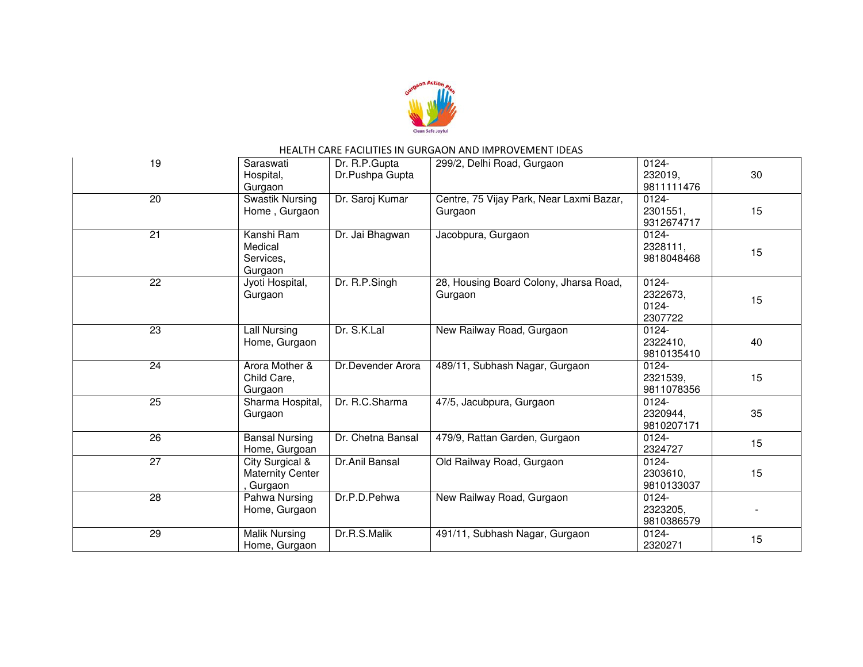

| 19              | Saraswati<br>Hospital,<br>Gurgaon                     | Dr. R.P.Gupta<br>Dr.Pushpa Gupta | 299/2, Delhi Road, Gurgaon                          | $0124 -$<br>232019,<br>9811111476           | 30 |
|-----------------|-------------------------------------------------------|----------------------------------|-----------------------------------------------------|---------------------------------------------|----|
| 20              | Swastik Nursing<br>Home, Gurgaon                      | Dr. Saroj Kumar                  | Centre, 75 Vijay Park, Near Laxmi Bazar,<br>Gurgaon | 0124-<br>2301551,<br>9312674717             | 15 |
| $\overline{21}$ | Kanshi Ram<br>Medical<br>Services,<br>Gurgaon         | Dr. Jai Bhagwan                  | Jacobpura, Gurgaon                                  | 0124-<br>2328111,<br>9818048468             | 15 |
| 22              | Jyoti Hospital,<br>Gurgaon                            | Dr. R.P.Singh                    | 28, Housing Board Colony, Jharsa Road,<br>Gurgaon   | $0124 -$<br>2322673.<br>$0124 -$<br>2307722 | 15 |
| $\overline{23}$ | Lall Nursing<br>Home, Gurgaon                         | Dr. S.K.Lal                      | New Railway Road, Gurgaon                           | $0124 -$<br>2322410.<br>9810135410          | 40 |
| $\overline{24}$ | Arora Mother &<br>Child Care,<br>Gurgaon              | Dr.Devender Arora                | 489/11, Subhash Nagar, Gurgaon                      | $0124 -$<br>2321539,<br>9811078356          | 15 |
| 25              | Sharma Hospital,<br>Gurgaon                           | Dr. R.C.Sharma                   | 47/5, Jacubpura, Gurgaon                            | 0124-<br>2320944,<br>9810207171             | 35 |
| 26              | <b>Bansal Nursing</b><br>Home, Gurgoan                | Dr. Chetna Bansal                | 479/9, Rattan Garden, Gurgaon                       | $0124 -$<br>2324727                         | 15 |
| $\overline{27}$ | City Surgical &<br><b>Maternity Center</b><br>Gurgaon | Dr.Anil Bansal                   | Old Railway Road, Gurgaon                           | 0124-<br>2303610.<br>9810133037             | 15 |
| $\overline{28}$ | Pahwa Nursing<br>Home, Gurgaon                        | Dr.P.D.Pehwa                     | New Railway Road, Gurgaon                           | 0124-<br>2323205,<br>9810386579             |    |
| 29              | Malik Nursing<br>Home, Gurgaon                        | Dr.R.S.Malik                     | 491/11, Subhash Nagar, Gurgaon                      | 0124-<br>2320271                            | 15 |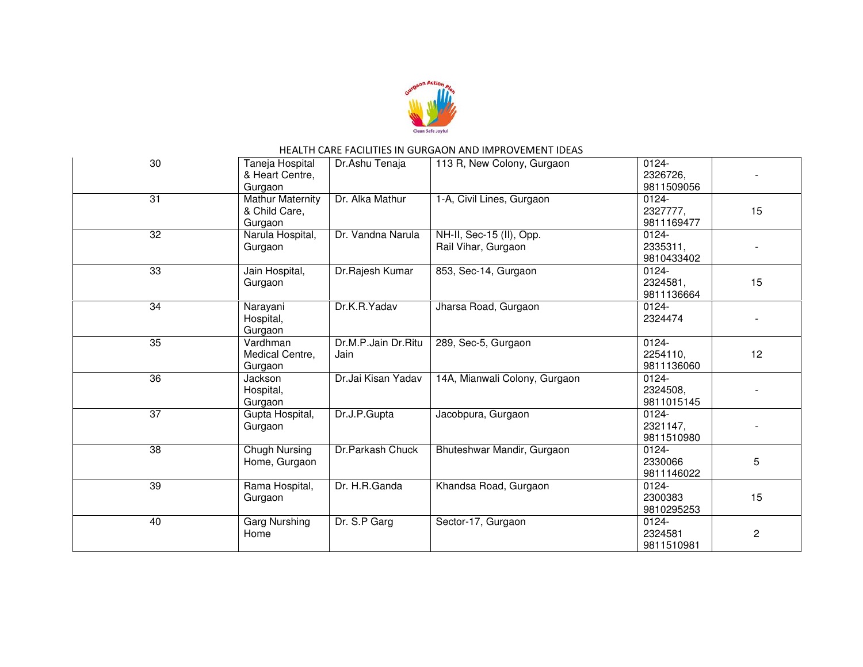

| 30              | Taneja Hospital<br>& Heart Centre,<br>Gurgaon       | Dr.Ashu Tenaja              | 113 R, New Colony, Gurgaon                      | $0124 -$<br>2326726,<br>9811509056 |    |
|-----------------|-----------------------------------------------------|-----------------------------|-------------------------------------------------|------------------------------------|----|
| 31              | <b>Mathur Maternity</b><br>& Child Care,<br>Gurgaon | Dr. Alka Mathur             | 1-A, Civil Lines, Gurgaon                       | 0124-<br>2327777,<br>9811169477    | 15 |
| 32              | Narula Hospital,<br>Gurgaon                         | Dr. Vandna Narula           | NH-II, Sec-15 (II), Opp.<br>Rail Vihar, Gurgaon | $0124 -$<br>2335311,<br>9810433402 |    |
| $\overline{33}$ | Jain Hospital,<br>Gurgaon                           | Dr.Rajesh Kumar             | 853, Sec-14, Gurgaon                            | $0124 -$<br>2324581,<br>9811136664 | 15 |
| 34              | Narayani<br>Hospital,<br>Gurgaon                    | Dr.K.R.Yadav                | Jharsa Road, Gurgaon                            | 0124-<br>2324474                   |    |
| $\overline{35}$ | Vardhman<br>Medical Centre,<br>Gurgaon              | Dr.M.P.Jain Dr.Ritu<br>Jain | 289, Sec-5, Gurgaon                             | $0124 -$<br>2254110,<br>9811136060 | 12 |
| 36              | <b>Jackson</b><br>Hospital,<br>Gurgaon              | Dr.Jai Kisan Yadav          | 14A, Mianwali Colony, Gurgaon                   | 0124-<br>2324508,<br>9811015145    |    |
| $\overline{37}$ | Gupta Hospital,<br>Gurgaon                          | Dr.J.P.Gupta                | Jacobpura, Gurgaon                              | 0124-<br>2321147.<br>9811510980    |    |
| 38              | Chugh Nursing<br>Home, Gurgaon                      | Dr.Parkash Chuck            | Bhuteshwar Mandir, Gurgaon                      | 0124-<br>2330066<br>9811146022     | 5  |
| 39              | Rama Hospital,<br>Gurgaon                           | Dr. H.R.Ganda               | Khandsa Road, Gurgaon                           | $0124 -$<br>2300383<br>9810295253  | 15 |
| 40              | <b>Garg Nurshing</b><br>Home                        | Dr. S.P Garg                | Sector-17, Gurgaon                              | 0124-<br>2324581<br>9811510981     | 2  |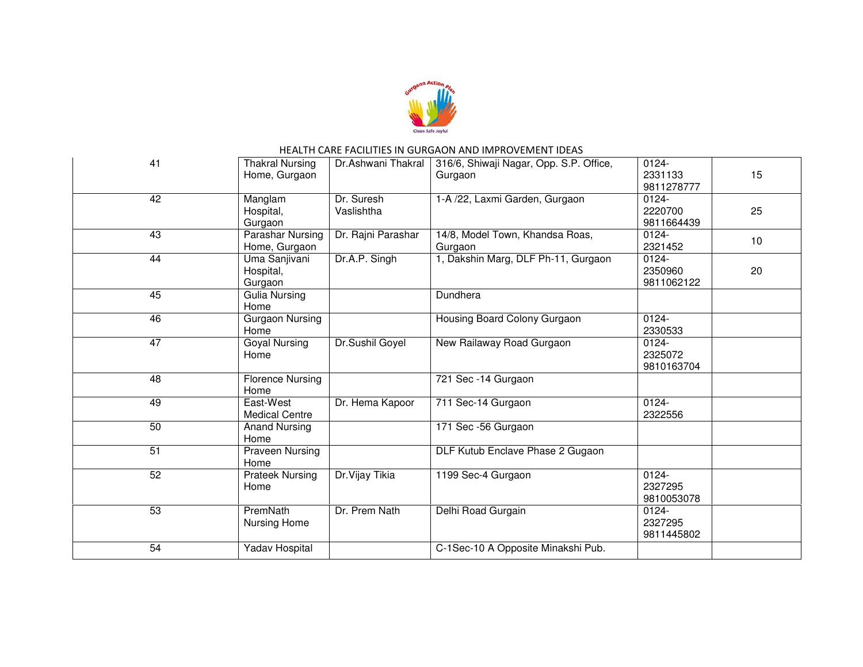

| 41              | <b>Thakral Nursing</b><br>Home, Gurgaon  | Dr.Ashwani Thakral       | 316/6, Shiwaji Nagar, Opp. S.P. Office,<br>Gurgaon | $0124 -$<br>2331133<br>9811278777 | 15 |
|-----------------|------------------------------------------|--------------------------|----------------------------------------------------|-----------------------------------|----|
| 42              | Manglam<br>Hospital,<br>Gurgaon          | Dr. Suresh<br>Vaslishtha | 1-A /22, Laxmi Garden, Gurgaon                     | $0124 -$<br>2220700<br>9811664439 | 25 |
| 43              | <b>Parashar Nursing</b><br>Home, Gurgaon | Dr. Rajni Parashar       | 14/8, Model Town, Khandsa Roas,<br>Gurgaon         | $0124 -$<br>2321452               | 10 |
| 44              | Uma Sanjivani<br>Hospital,<br>Gurgaon    | Dr.A.P. Singh            | 1, Dakshin Marg, DLF Ph-11, Gurgaon                | $0124 -$<br>2350960<br>9811062122 | 20 |
| 45              | <b>Gulia Nursing</b><br>Home             |                          | Dundhera                                           |                                   |    |
| 46              | Gurgaon Nursing<br>Home                  |                          | Housing Board Colony Gurgaon                       | $0124 -$<br>2330533               |    |
| $\overline{47}$ | <b>Goyal Nursing</b><br>Home             | Dr.Sushil Goyel          | New Railaway Road Gurgaon                          | $0124 -$<br>2325072<br>9810163704 |    |
| 48              | <b>Florence Nursing</b><br>Home          |                          | 721 Sec -14 Gurgaon                                |                                   |    |
| 49              | East-West<br><b>Medical Centre</b>       | Dr. Hema Kapoor          | 711 Sec-14 Gurgaon                                 | $0124 -$<br>2322556               |    |
| 50              | <b>Anand Nursing</b><br>Home             |                          | 171 Sec -56 Gurgaon                                |                                   |    |
| $\overline{51}$ | Praveen Nursing<br>Home                  |                          | DLF Kutub Enclave Phase 2 Gugaon                   |                                   |    |
| 52              | <b>Prateek Nursing</b><br>Home           | Dr. Vijay Tikia          | 1199 Sec-4 Gurgaon                                 | $0124 -$<br>2327295<br>9810053078 |    |
| 53              | PremNath<br>Nursing Home                 | Dr. Prem Nath            | Delhi Road Gurgain                                 | 0124-<br>2327295<br>9811445802    |    |
| 54              | Yadav Hospital                           |                          | C-1Sec-10 A Opposite Minakshi Pub.                 |                                   |    |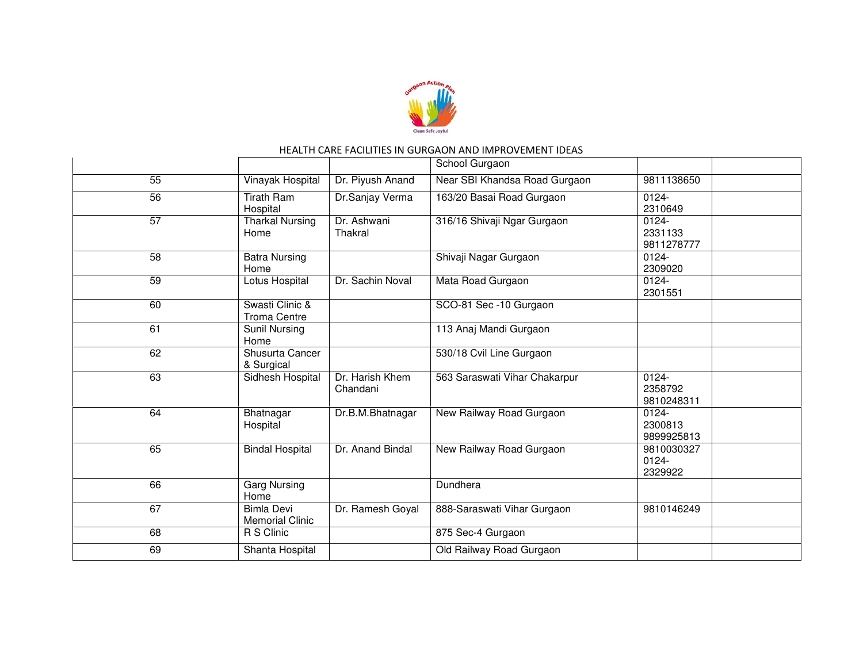

|                 |                                             |                             | School Gurgaon                |                                   |  |
|-----------------|---------------------------------------------|-----------------------------|-------------------------------|-----------------------------------|--|
| 55              | Vinayak Hospital                            | Dr. Piyush Anand            | Near SBI Khandsa Road Gurgaon | 9811138650                        |  |
| 56              | <b>Tirath Ram</b><br>Hospital               | Dr.Sanjay Verma             | 163/20 Basai Road Gurgaon     | $0124 -$<br>2310649               |  |
| 57              | <b>Tharkal Nursing</b><br>Home              | Dr. Ashwani<br>Thakral      | 316/16 Shivaji Ngar Gurgaon   | $0124 -$<br>2331133<br>9811278777 |  |
| 58              | <b>Batra Nursing</b><br>Home                |                             | Shivaji Nagar Gurgaon         | 0124-<br>2309020                  |  |
| $\overline{59}$ | Lotus Hospital                              | Dr. Sachin Noval            | Mata Road Gurgaon             | 0124-<br>2301551                  |  |
| 60              | Swasti Clinic &<br><b>Troma Centre</b>      |                             | SCO-81 Sec -10 Gurgaon        |                                   |  |
| 61              | <b>Sunil Nursing</b><br>Home                |                             | 113 Anaj Mandi Gurgaon        |                                   |  |
| 62              | Shusurta Cancer<br>& Surgical               |                             | 530/18 Cvil Line Gurgaon      |                                   |  |
| 63              | Sidhesh Hospital                            | Dr. Harish Khem<br>Chandani | 563 Saraswati Vihar Chakarpur | 0124-<br>2358792<br>9810248311    |  |
| 64              | Bhatnagar<br>Hospital                       | Dr.B.M.Bhatnagar            | New Railway Road Gurgaon      | 0124-<br>2300813<br>9899925813    |  |
| 65              | <b>Bindal Hospital</b>                      | Dr. Anand Bindal            | New Railway Road Gurgaon      | 9810030327<br>$0124 -$<br>2329922 |  |
| 66              | <b>Garg Nursing</b><br>Home                 |                             | Dundhera                      |                                   |  |
| 67              | <b>Bimla Devi</b><br><b>Memorial Clinic</b> | Dr. Ramesh Goyal            | 888-Saraswati Vihar Gurgaon   | 9810146249                        |  |
| 68              | R S Clinic                                  |                             | 875 Sec-4 Gurgaon             |                                   |  |
| 69              | Shanta Hospital                             |                             | Old Railway Road Gurgaon      |                                   |  |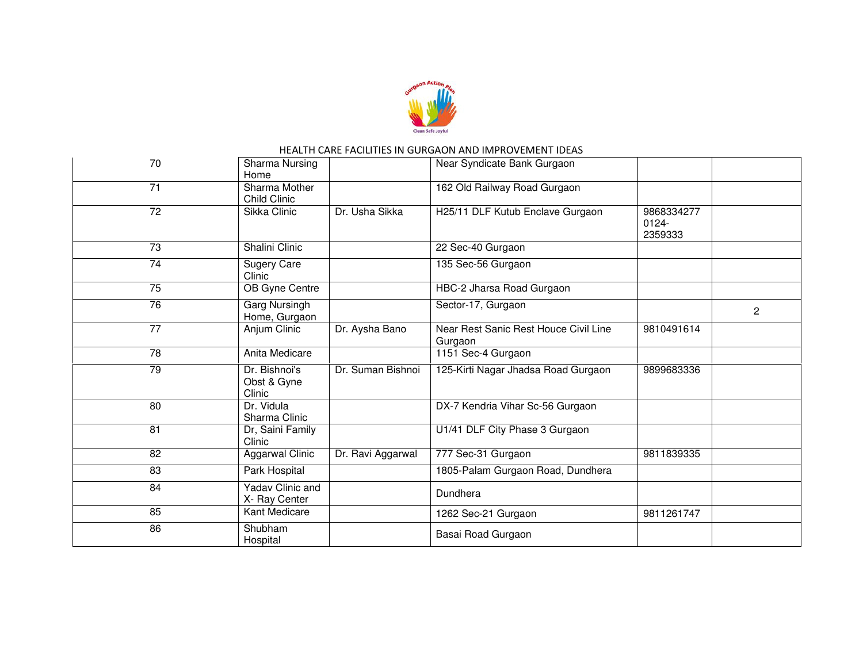

| 70              | Sharma Nursing<br>Home                 |                   | Near Syndicate Bank Gurgaon                      |                                   |
|-----------------|----------------------------------------|-------------------|--------------------------------------------------|-----------------------------------|
| 71              | Sharma Mother<br><b>Child Clinic</b>   |                   | 162 Old Railway Road Gurgaon                     |                                   |
| 72              | Sikka Clinic                           | Dr. Usha Sikka    | H25/11 DLF Kutub Enclave Gurgaon                 | 9868334277<br>$0124 -$<br>2359333 |
| 73              | Shalini Clinic                         |                   | 22 Sec-40 Gurgaon                                |                                   |
| $\overline{74}$ | <b>Sugery Care</b><br>Clinic           |                   | 135 Sec-56 Gurgaon                               |                                   |
| 75              | OB Gyne Centre                         |                   | HBC-2 Jharsa Road Gurgaon                        |                                   |
| 76              | Garg Nursingh<br>Home, Gurgaon         |                   | Sector-17, Gurgaon                               | $\overline{2}$                    |
| $\overline{77}$ | Anjum Clinic                           | Dr. Aysha Bano    | Near Rest Sanic Rest Houce Civil Line<br>Gurgaon | 9810491614                        |
| $\overline{78}$ | Anita Medicare                         |                   | 1151 Sec-4 Gurgaon                               |                                   |
| 79              | Dr. Bishnoi's<br>Obst & Gyne<br>Clinic | Dr. Suman Bishnoi | 125-Kirti Nagar Jhadsa Road Gurgaon              | 9899683336                        |
| 80              | Dr. Vidula<br>Sharma Clinic            |                   | DX-7 Kendria Vihar Sc-56 Gurgaon                 |                                   |
| 81              | Dr, Saini Family<br>Clinic             |                   | U1/41 DLF City Phase 3 Gurgaon                   |                                   |
| 82              | <b>Aggarwal Clinic</b>                 | Dr. Ravi Aggarwal | 777 Sec-31 Gurgaon                               | 9811839335                        |
| 83              | Park Hospital                          |                   | 1805-Palam Gurgaon Road, Dundhera                |                                   |
| 84              | Yadav Clinic and<br>X- Ray Center      |                   | Dundhera                                         |                                   |
| 85              | Kant Medicare                          |                   | 1262 Sec-21 Gurgaon                              | 9811261747                        |
| 86              | Shubham<br>Hospital                    |                   | Basai Road Gurgaon                               |                                   |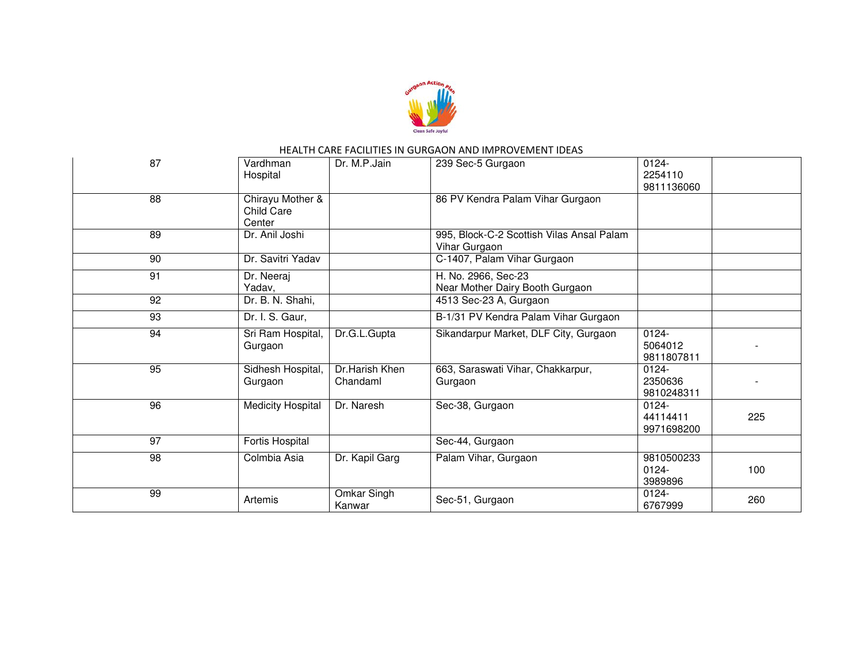

| 87              | Vardhman<br>Hospital                     | Dr. M.P.Jain               | 239 Sec-5 Gurgaon                                          | 0124-<br>2254110<br>9811136060     |     |
|-----------------|------------------------------------------|----------------------------|------------------------------------------------------------|------------------------------------|-----|
| 88              | Chirayu Mother &<br>Child Care<br>Center |                            | 86 PV Kendra Palam Vihar Gurgaon                           |                                    |     |
| 89              | Dr. Anil Joshi                           |                            | 995, Block-C-2 Scottish Vilas Ansal Palam<br>Vihar Gurgaon |                                    |     |
| 90              | Dr. Savitri Yadav                        |                            | C-1407, Palam Vihar Gurgaon                                |                                    |     |
| 91              | Dr. Neeraj<br>Yadav,                     |                            | H. No. 2966, Sec-23<br>Near Mother Dairy Booth Gurgaon     |                                    |     |
| 92              | Dr. B. N. Shahi,                         |                            | 4513 Sec-23 A, Gurgaon                                     |                                    |     |
| 93              | Dr. I. S. Gaur,                          |                            | B-1/31 PV Kendra Palam Vihar Gurgaon                       |                                    |     |
| 94              | Sri Ram Hospital,<br>Gurgaon             | Dr.G.L.Gupta               | Sikandarpur Market, DLF City, Gurgaon                      | $0124 -$<br>5064012<br>9811807811  |     |
| 95              | Sidhesh Hospital,<br>Gurgaon             | Dr.Harish Khen<br>Chandaml | 663, Saraswati Vihar, Chakkarpur,<br>Gurgaon               | 0124-<br>2350636<br>9810248311     |     |
| 96              | <b>Medicity Hospital</b>                 | Dr. Naresh                 | Sec-38, Gurgaon                                            | $0124 -$<br>44114411<br>9971698200 | 225 |
| 97              | Fortis Hospital                          |                            | Sec-44, Gurgaon                                            |                                    |     |
| $\overline{98}$ | Colmbia Asia                             | Dr. Kapil Garg             | Palam Vihar, Gurgaon                                       | 9810500233<br>$0124 -$<br>3989896  | 100 |
| 99              | Artemis                                  | Omkar Singh<br>Kanwar      | Sec-51, Gurgaon                                            | 0124-<br>6767999                   | 260 |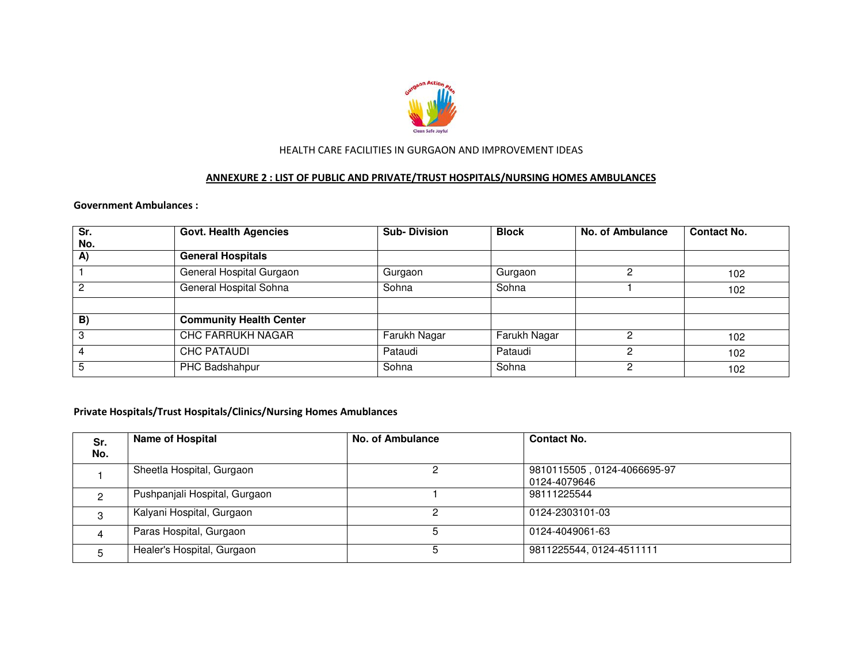

#### ANNEXURE 2 : LIST OF PUBLIC AND PRIVATE/TRUST HOSPITALS/NURSING HOMES AMBULANCES

#### Government Ambulances :

| $\overline{\text{Sr}}$<br>No. | <b>Govt. Health Agencies</b>   | <b>Sub-Division</b> | <b>Block</b> | <b>No. of Ambulance</b> | <b>Contact No.</b> |
|-------------------------------|--------------------------------|---------------------|--------------|-------------------------|--------------------|
| A)                            | <b>General Hospitals</b>       |                     |              |                         |                    |
|                               | General Hospital Gurgaon       | Gurgaon             | Gurgaon      |                         | 102                |
| $\overline{2}$                | General Hospital Sohna         | Sohna               | Sohna        |                         | 102 <sub>1</sub>   |
|                               |                                |                     |              |                         |                    |
| B)                            | <b>Community Health Center</b> |                     |              |                         |                    |
| $\mathbf{3}$                  | <b>CHC FARRUKH NAGAR</b>       | Farukh Nagar        | Farukh Nagar |                         | 102                |
| $\overline{4}$                | <b>CHC PATAUDI</b>             | Pataudi             | Pataudi      |                         | 102                |
| 5                             | PHC Badshahpur                 | Sohna               | Sohna        | ົ                       | 102                |

#### Private Hospitals/Trust Hospitals/Clinics/Nursing Homes Amublances

| Sr.<br>No. | <b>Name of Hospital</b>       | <b>No. of Ambulance</b> | <b>Contact No.</b>                          |
|------------|-------------------------------|-------------------------|---------------------------------------------|
|            | Sheetla Hospital, Gurgaon     |                         | 9810115505, 0124-4066695-97<br>0124-4079646 |
|            | Pushpanjali Hospital, Gurgaon |                         | 98111225544                                 |
|            | Kalyani Hospital, Gurgaon     |                         | 0124-2303101-03                             |
| 4          | Paras Hospital, Gurgaon       |                         | 0124-4049061-63                             |
| 5          | Healer's Hospital, Gurgaon    | 5.                      | 9811225544, 0124-4511111                    |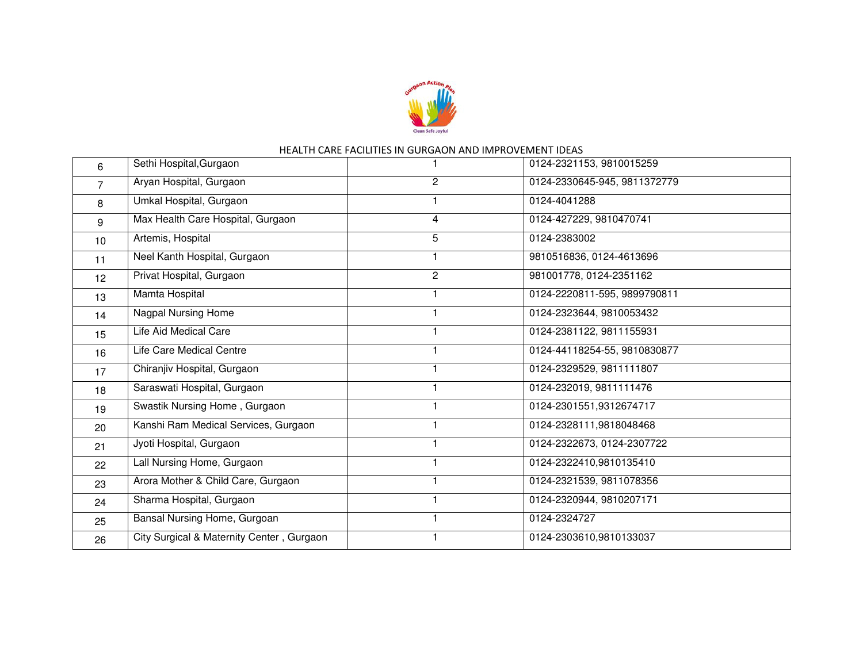

| Sethi Hospital, Gurgaon<br>6 |                                           |                | 0124-2321153, 9810015259     |  |  |
|------------------------------|-------------------------------------------|----------------|------------------------------|--|--|
| Aryan Hospital, Gurgaon<br>7 |                                           | $\overline{c}$ | 0124-2330645-945, 9811372779 |  |  |
| 8                            | Umkal Hospital, Gurgaon                   |                | 0124-4041288                 |  |  |
| 9                            | Max Health Care Hospital, Gurgaon         | 4              | 0124-427229, 9810470741      |  |  |
| 10                           | Artemis, Hospital                         | 5              | 0124-2383002                 |  |  |
| 11                           | Neel Kanth Hospital, Gurgaon              |                | 9810516836, 0124-4613696     |  |  |
| 12 <sup>°</sup>              | Privat Hospital, Gurgaon                  | $\overline{2}$ | 981001778, 0124-2351162      |  |  |
| 13                           | Mamta Hospital                            |                | 0124-2220811-595, 9899790811 |  |  |
| 14                           | Nagpal Nursing Home                       |                | 0124-2323644, 9810053432     |  |  |
| 15                           | Life Aid Medical Care                     |                | 0124-2381122, 9811155931     |  |  |
| 16                           | Life Care Medical Centre                  |                | 0124-44118254-55, 9810830877 |  |  |
| 17                           | Chiranjiv Hospital, Gurgaon               |                | 0124-2329529, 9811111807     |  |  |
| 18                           | Saraswati Hospital, Gurgaon               |                | 0124-232019, 9811111476      |  |  |
| 19                           | Swastik Nursing Home, Gurgaon             |                | 0124-2301551,9312674717      |  |  |
| 20                           | Kanshi Ram Medical Services, Gurgaon      |                | 0124-2328111,9818048468      |  |  |
| 21                           | Jyoti Hospital, Gurgaon                   |                | 0124-2322673, 0124-2307722   |  |  |
| 22                           | Lall Nursing Home, Gurgaon                |                | 0124-2322410,9810135410      |  |  |
| 23                           | Arora Mother & Child Care, Gurgaon        |                | 0124-2321539, 9811078356     |  |  |
| 24                           | Sharma Hospital, Gurgaon                  |                | 0124-2320944, 9810207171     |  |  |
| 25                           | Bansal Nursing Home, Gurgoan              |                | 0124-2324727                 |  |  |
| 26                           | City Surgical & Maternity Center, Gurgaon |                | 0124-2303610,9810133037      |  |  |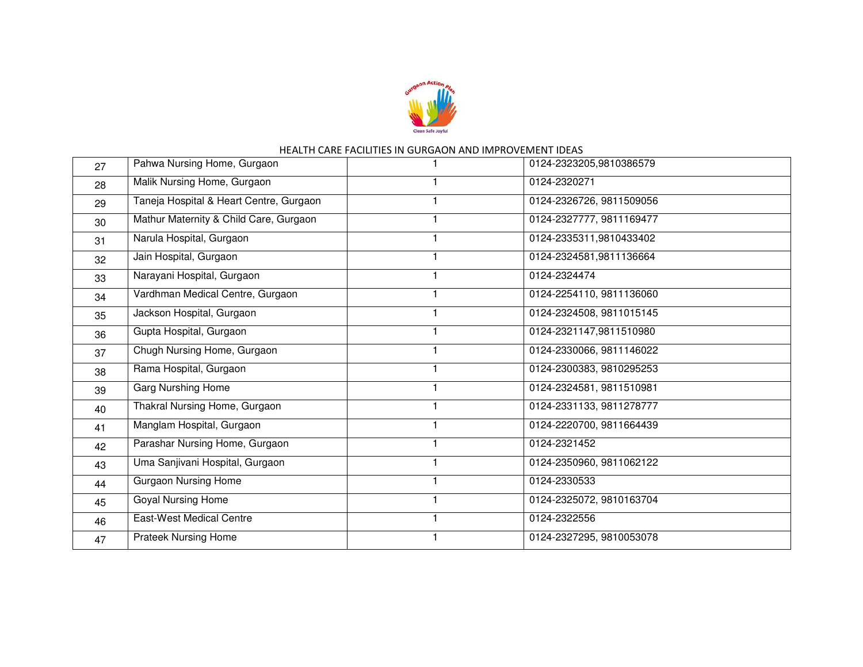

| Pahwa Nursing Home, Gurgaon<br>27 |                                         | 0124-2323205,9810386579  |
|-----------------------------------|-----------------------------------------|--------------------------|
| 28                                | Malik Nursing Home, Gurgaon             | 0124-2320271             |
| 29                                | Taneja Hospital & Heart Centre, Gurgaon | 0124-2326726, 9811509056 |
| 30                                | Mathur Maternity & Child Care, Gurgaon  | 0124-2327777, 9811169477 |
| 31                                | Narula Hospital, Gurgaon                | 0124-2335311,9810433402  |
| 32                                | Jain Hospital, Gurgaon                  | 0124-2324581,9811136664  |
| 33                                | Narayani Hospital, Gurgaon              | 0124-2324474             |
| 34                                | Vardhman Medical Centre, Gurgaon        | 0124-2254110, 9811136060 |
| 35                                | Jackson Hospital, Gurgaon               | 0124-2324508, 9811015145 |
| 36                                | Gupta Hospital, Gurgaon                 | 0124-2321147,9811510980  |
| 37                                | Chugh Nursing Home, Gurgaon             | 0124-2330066, 9811146022 |
| 38                                | Rama Hospital, Gurgaon                  | 0124-2300383, 9810295253 |
| 39                                | <b>Garg Nurshing Home</b>               | 0124-2324581, 9811510981 |
| 40                                | Thakral Nursing Home, Gurgaon           | 0124-2331133, 9811278777 |
| 41                                | Manglam Hospital, Gurgaon               | 0124-2220700, 9811664439 |
| 42                                | Parashar Nursing Home, Gurgaon          | 0124-2321452             |
| 43                                | Uma Sanjivani Hospital, Gurgaon         | 0124-2350960, 9811062122 |
| 44                                | <b>Gurgaon Nursing Home</b>             | 0124-2330533             |
| 45                                | <b>Goyal Nursing Home</b>               | 0124-2325072, 9810163704 |
| 46                                | <b>East-West Medical Centre</b>         | 0124-2322556             |
| 47                                | Prateek Nursing Home                    | 0124-2327295, 9810053078 |
|                                   |                                         |                          |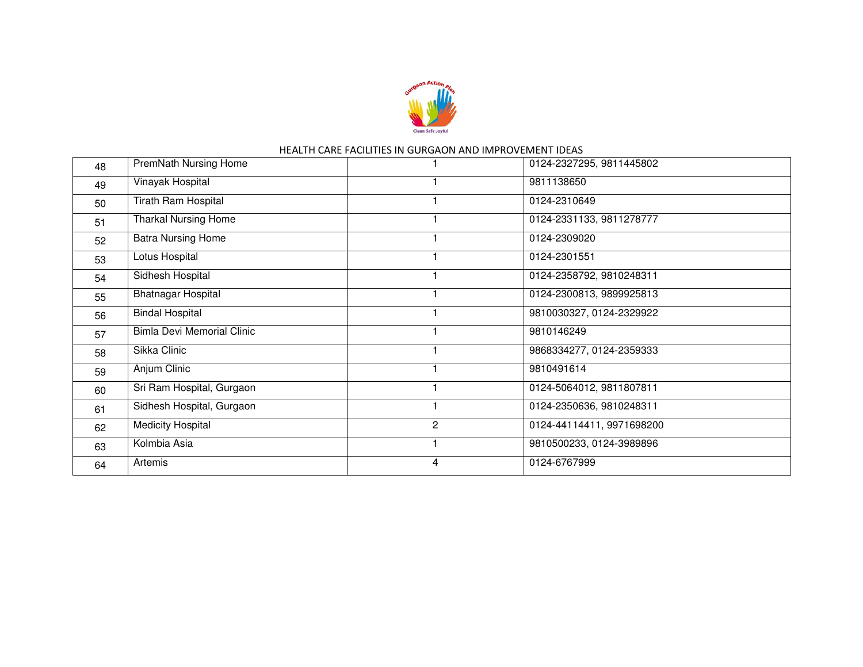

| 48 | PremNath Nursing Home             |   | 0124-2327295, 9811445802  |
|----|-----------------------------------|---|---------------------------|
| 49 | Vinayak Hospital                  |   | 9811138650                |
| 50 | Tirath Ram Hospital               |   | 0124-2310649              |
| 51 | <b>Tharkal Nursing Home</b>       |   | 0124-2331133, 9811278777  |
| 52 | <b>Batra Nursing Home</b>         |   | 0124-2309020              |
| 53 | Lotus Hospital                    |   | 0124-2301551              |
| 54 | Sidhesh Hospital                  |   | 0124-2358792, 9810248311  |
| 55 | <b>Bhatnagar Hospital</b>         |   | 0124-2300813, 9899925813  |
| 56 | <b>Bindal Hospital</b>            |   | 9810030327, 0124-2329922  |
| 57 | <b>Bimla Devi Memorial Clinic</b> |   | 9810146249                |
| 58 | Sikka Clinic                      |   | 9868334277, 0124-2359333  |
| 59 | Anjum Clinic                      |   | 9810491614                |
| 60 | Sri Ram Hospital, Gurgaon         |   | 0124-5064012, 9811807811  |
| 61 | Sidhesh Hospital, Gurgaon         |   | 0124-2350636, 9810248311  |
| 62 | <b>Medicity Hospital</b>          | 2 | 0124-44114411, 9971698200 |
| 63 | Kolmbia Asia                      |   | 9810500233, 0124-3989896  |
| 64 | Artemis                           | 4 | 0124-6767999              |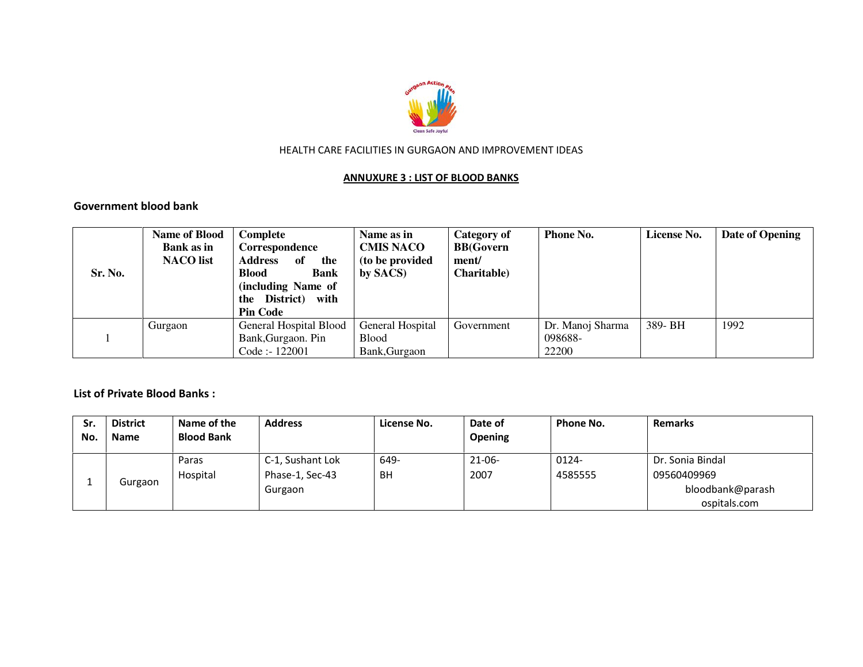

#### ANNUXURE 3 : LIST OF BLOOD BANKS

Government blood bank

| Sr. No. | <b>Name of Blood</b><br>Bank as in<br><b>NACO</b> list                  | Complete<br>Correspondence<br><b>Address</b><br>of<br>the<br><b>Blood</b><br><b>Bank</b><br>(including Name of<br>the District) with<br><b>Pin Code</b> | Name as in<br><b>CMIS NACO</b><br>(to be provided<br>by SACS) | Category of<br><b>BB</b> (Govern<br>ment/<br>Charitable) | <b>Phone No.</b>                     | License No. | Date of Opening |
|---------|-------------------------------------------------------------------------|---------------------------------------------------------------------------------------------------------------------------------------------------------|---------------------------------------------------------------|----------------------------------------------------------|--------------------------------------|-------------|-----------------|
|         | General Hospital Blood<br>Gurgaon<br>Bank, Gurgaon. Pin<br>Code: 122001 |                                                                                                                                                         | General Hospital<br><b>Blood</b><br>Bank, Gurgaon             | Government                                               | Dr. Manoj Sharma<br>098688-<br>22200 | 389- BH     | 1992            |

List of Private Blood Banks :

| <b>Sr</b><br>No | <b>District</b><br>Name | Name of the<br><b>Blood Bank</b> | <b>Address</b>                      | License No. | Date of<br><b>Opening</b> | Phone No.        | <b>Remarks</b>                   |
|-----------------|-------------------------|----------------------------------|-------------------------------------|-------------|---------------------------|------------------|----------------------------------|
|                 | Gurgaon                 | Paras<br>Hospital                | C-1, Sushant Lok<br>Phase-1, Sec-43 | 649-<br>BH  | $21 - 06 -$<br>2007       | 0124-<br>4585555 | Dr. Sonia Bindal<br>09560409969  |
|                 |                         |                                  | Gurgaon                             |             |                           |                  | bloodbank@parash<br>ospitals.com |